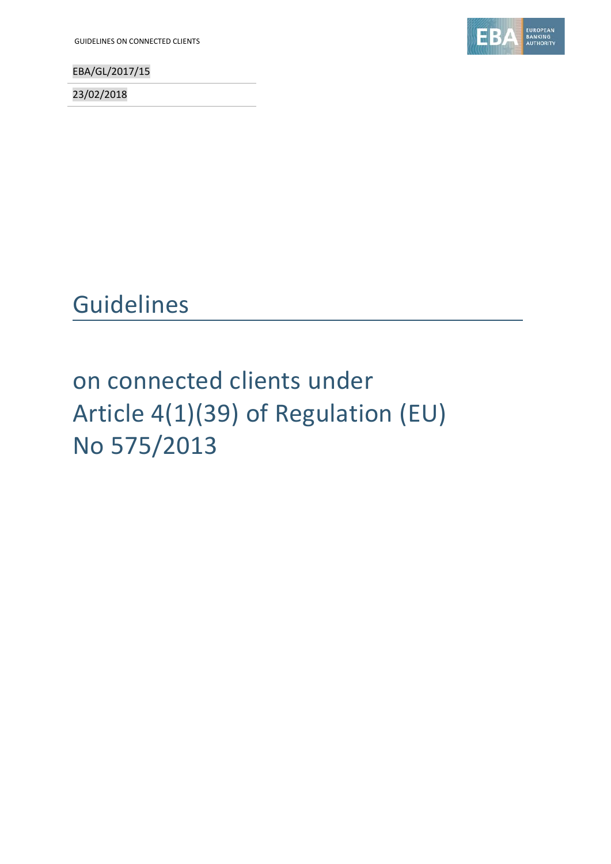GUIDELINES ON CONNECTED CLIENTS

EBA/GL/2017/15

23/02/2018



## Guidelines

# on connected clients under Article 4(1)(39) of Regulation (EU) No 575/2013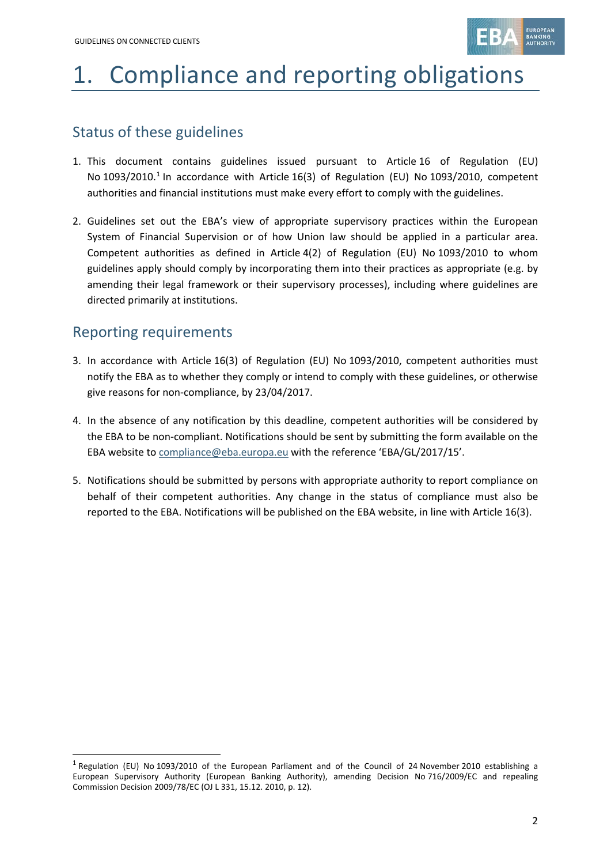

# 1. Compliance and reporting obligations

## Status of these guidelines

- 1. This document contains guidelines issued pursuant to Article 16 of Regulation (EU) No [1](#page-1-0)093/2010.<sup>1</sup> In accordance with Article 16(3) of Regulation (EU) No 1093/2010, competent authorities and financial institutions must make every effort to comply with the guidelines.
- 2. Guidelines set out the EBA's view of appropriate supervisory practices within the European System of Financial Supervision or of how Union law should be applied in a particular area. Competent authorities as defined in Article 4(2) of Regulation (EU) No 1093/2010 to whom guidelines apply should comply by incorporating them into their practices as appropriate (e.g. by amending their legal framework or their supervisory processes), including where guidelines are directed primarily at institutions.

## Reporting requirements

.

- 3. In accordance with Article 16(3) of Regulation (EU) No 1093/2010, competent authorities must notify the EBA as to whether they comply or intend to comply with these guidelines, or otherwise give reasons for non-compliance, by 23/04/2017.
- 4. In the absence of any notification by this deadline, competent authorities will be considered by the EBA to be non-compliant. Notifications should be sent by submitting the form available on the EBA website to [compliance@eba.europa.eu](mailto:compliance@eba.europa.eu) with the reference 'EBA/GL/2017/15'.
- 5. Notifications should be submitted by persons with appropriate authority to report compliance on behalf of their competent authorities. Any change in the status of compliance must also be reported to the EBA. Notifications will be published on the EBA website, in line with Article 16(3).

<span id="page-1-0"></span><sup>&</sup>lt;sup>1</sup> Regulation (EU) No 1093/2010 of the European Parliament and of the Council of 24 November 2010 establishing a European Supervisory Authority (European Banking Authority), amending Decision No 716/2009/EC and repealing Commission Decision 2009/78/EC (OJ L 331, 15.12. 2010, p. 12).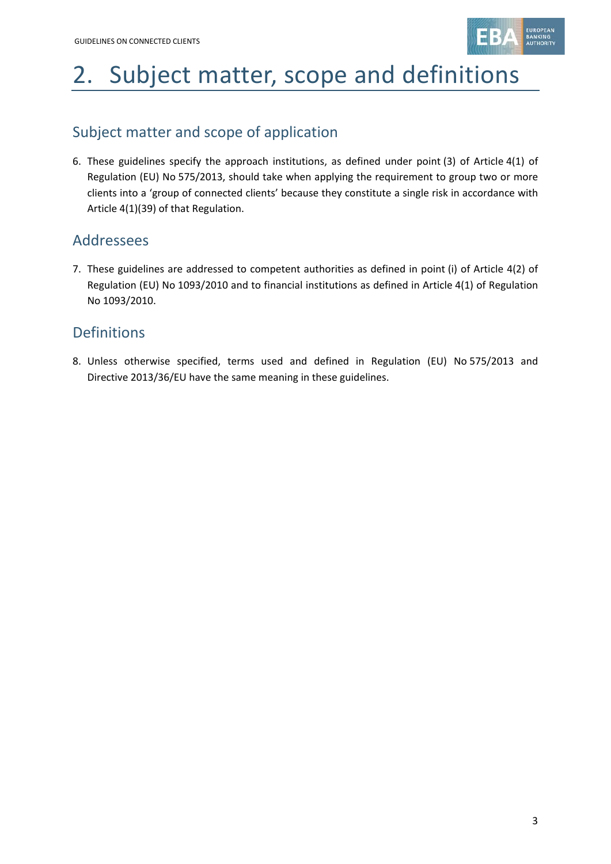

# 2. Subject matter, scope and definitions

## Subject matter and scope of application

6. These guidelines specify the approach institutions, as defined under point (3) of Article 4(1) of Regulation (EU) No 575/2013, should take when applying the requirement to group two or more clients into a 'group of connected clients' because they constitute a single risk in accordance with Article 4(1)(39) of that Regulation.

### Addressees

7. These guidelines are addressed to competent authorities as defined in point (i) of Article 4(2) of Regulation (EU) No 1093/2010 and to financial institutions as defined in Article 4(1) of Regulation No 1093/2010.

## Definitions

8. Unless otherwise specified, terms used and defined in Regulation (EU) No 575/2013 and Directive 2013/36/EU have the same meaning in these guidelines.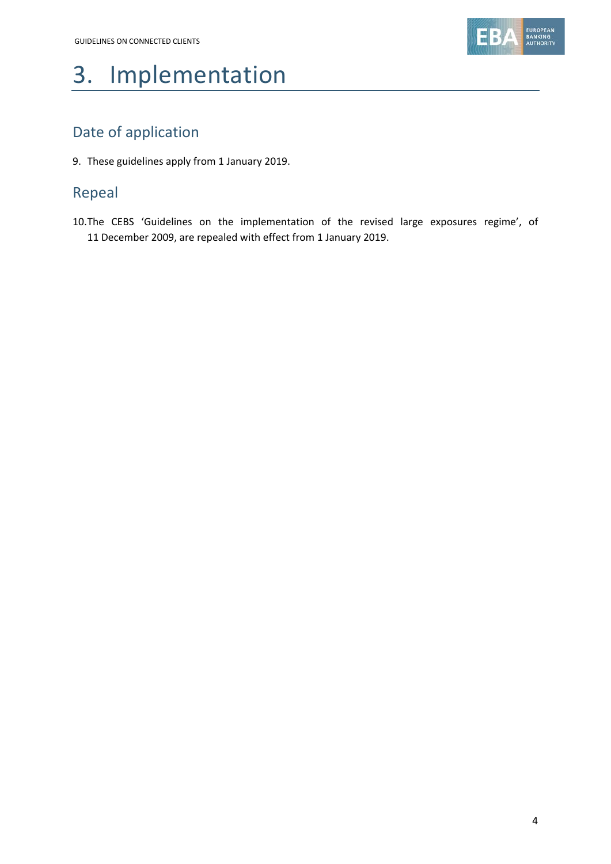

# 3. Implementation

## Date of application

9. These guidelines apply from 1 January 2019.

## Repeal

10.The CEBS 'Guidelines on the implementation of the revised large exposures regime', of 11 December 2009, are repealed with effect from 1 January 2019.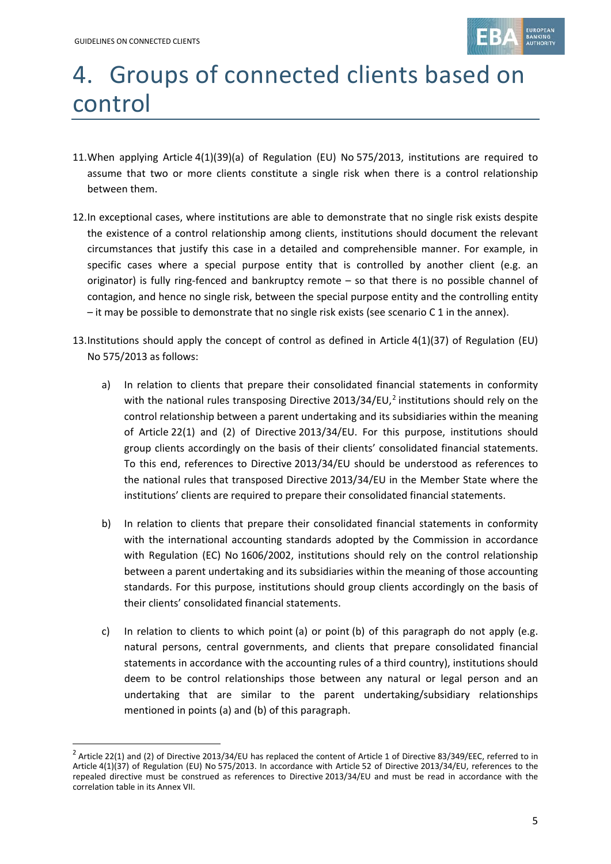1



# 4. Groups of connected clients based on control

- 11.When applying Article 4(1)(39)(a) of Regulation (EU) No 575/2013, institutions are required to assume that two or more clients constitute a single risk when there is a control relationship between them.
- 12.In exceptional cases, where institutions are able to demonstrate that no single risk exists despite the existence of a control relationship among clients, institutions should document the relevant circumstances that justify this case in a detailed and comprehensible manner. For example, in specific cases where a special purpose entity that is controlled by another client (e.g. an originator) is fully ring-fenced and bankruptcy remote – so that there is no possible channel of contagion, and hence no single risk, between the special purpose entity and the controlling entity – it may be possible to demonstrate that no single risk exists (see scenario C 1 in the annex).
- 13.Institutions should apply the concept of control as defined in Article 4(1)(37) of Regulation (EU) No 575/2013 as follows:
	- a) In relation to clients that prepare their consolidated financial statements in conformity with the national rules transposing Directive [2](#page-4-0)013/34/EU,<sup>2</sup> institutions should rely on the control relationship between a parent undertaking and its subsidiaries within the meaning of Article 22(1) and (2) of Directive 2013/34/EU. For this purpose, institutions should group clients accordingly on the basis of their clients' consolidated financial statements. To this end, references to Directive 2013/34/EU should be understood as references to the national rules that transposed Directive 2013/34/EU in the Member State where the institutions' clients are required to prepare their consolidated financial statements.
	- b) In relation to clients that prepare their consolidated financial statements in conformity with the international accounting standards adopted by the Commission in accordance with Regulation (EC) No 1606/2002, institutions should rely on the control relationship between a parent undertaking and its subsidiaries within the meaning of those accounting standards. For this purpose, institutions should group clients accordingly on the basis of their clients' consolidated financial statements.
	- c) In relation to clients to which point (a) or point (b) of this paragraph do not apply (e.g. natural persons, central governments, and clients that prepare consolidated financial statements in accordance with the accounting rules of a third country), institutions should deem to be control relationships those between any natural or legal person and an undertaking that are similar to the parent undertaking/subsidiary relationships mentioned in points (a) and (b) of this paragraph.

<span id="page-4-0"></span> $2$  Article 22(1) and (2) of Directive 2013/34/EU has replaced the content of Article 1 of Directive 83/349/EEC, referred to in Article 4(1)(37) of Regulation (EU) No 575/2013. In accordance with Article 52 of Directive 2013/34/EU, references to the repealed directive must be construed as references to Directive 2013/34/EU and must be read in accordance with the correlation table in its Annex VII.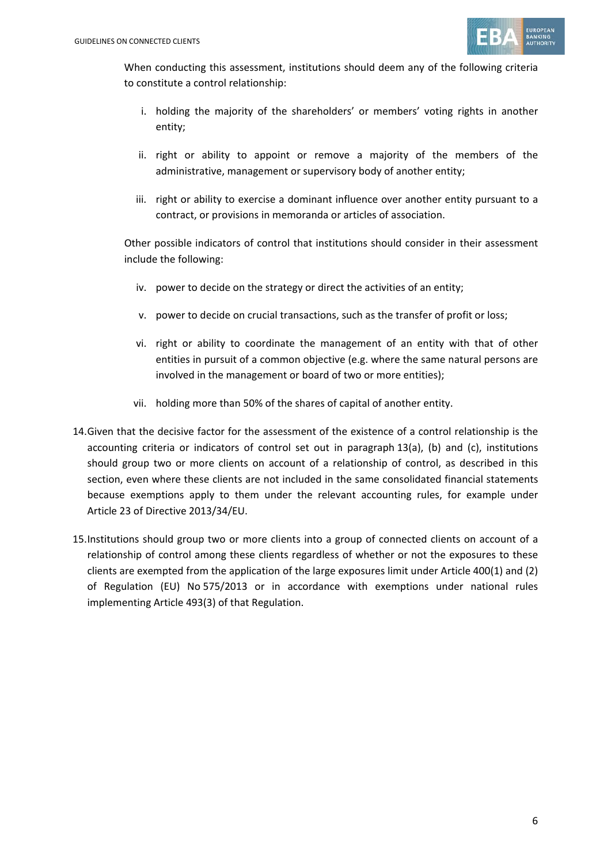

When conducting this assessment, institutions should deem any of the following criteria to constitute a control relationship:

- i. holding the majority of the shareholders' or members' voting rights in another entity;
- ii. right or ability to appoint or remove a majority of the members of the administrative, management or supervisory body of another entity;
- iii. right or ability to exercise a dominant influence over another entity pursuant to a contract, or provisions in memoranda or articles of association.

Other possible indicators of control that institutions should consider in their assessment include the following:

- iv. power to decide on the strategy or direct the activities of an entity;
- v. power to decide on crucial transactions, such as the transfer of profit or loss;
- vi. right or ability to coordinate the management of an entity with that of other entities in pursuit of a common objective (e.g. where the same natural persons are involved in the management or board of two or more entities);
- vii. holding more than 50% of the shares of capital of another entity.
- 14.Given that the decisive factor for the assessment of the existence of a control relationship is the accounting criteria or indicators of control set out in paragraph 13(a), (b) and (c), institutions should group two or more clients on account of a relationship of control, as described in this section, even where these clients are not included in the same consolidated financial statements because exemptions apply to them under the relevant accounting rules, for example under Article 23 of Directive 2013/34/EU.
- 15.Institutions should group two or more clients into a group of connected clients on account of a relationship of control among these clients regardless of whether or not the exposures to these clients are exempted from the application of the large exposures limit under Article 400(1) and (2) of Regulation (EU) No 575/2013 or in accordance with exemptions under national rules implementing Article 493(3) of that Regulation.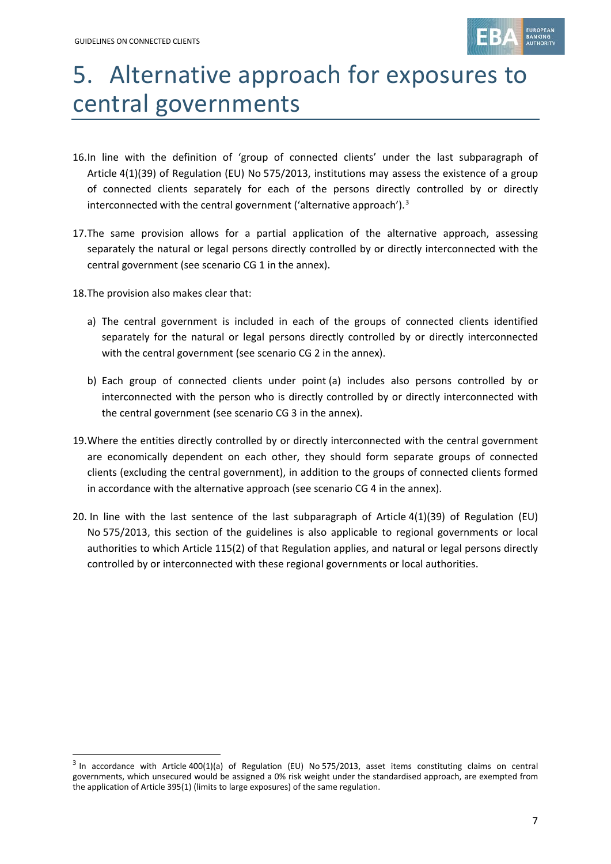

## 5. Alternative approach for exposures to central governments

- 16.In line with the definition of 'group of connected clients' under the last subparagraph of Article 4(1)(39) of Regulation (EU) No 575/2013, institutions may assess the existence of a group of connected clients separately for each of the persons directly controlled by or directly interconnected with the central government ('alternative approach'). $3$
- 17.The same provision allows for a partial application of the alternative approach, assessing separately the natural or legal persons directly controlled by or directly interconnected with the central government (see scenario CG 1 in the annex).
- 18.The provision also makes clear that:

.

- a) The central government is included in each of the groups of connected clients identified separately for the natural or legal persons directly controlled by or directly interconnected with the central government (see scenario CG 2 in the annex).
- b) Each group of connected clients under point (a) includes also persons controlled by or interconnected with the person who is directly controlled by or directly interconnected with the central government (see scenario CG 3 in the annex).
- 19.Where the entities directly controlled by or directly interconnected with the central government are economically dependent on each other, they should form separate groups of connected clients (excluding the central government), in addition to the groups of connected clients formed in accordance with the alternative approach (see scenario CG 4 in the annex).
- 20. In line with the last sentence of the last subparagraph of Article 4(1)(39) of Regulation (EU) No 575/2013, this section of the guidelines is also applicable to regional governments or local authorities to which Article 115(2) of that Regulation applies, and natural or legal persons directly controlled by or interconnected with these regional governments or local authorities.

<span id="page-6-0"></span> $3$  In accordance with Article 400(1)(a) of Regulation (EU) No 575/2013, asset items constituting claims on central governments, which unsecured would be assigned a 0% risk weight under the standardised approach, are exempted from the application of Article 395(1) (limits to large exposures) of the same regulation.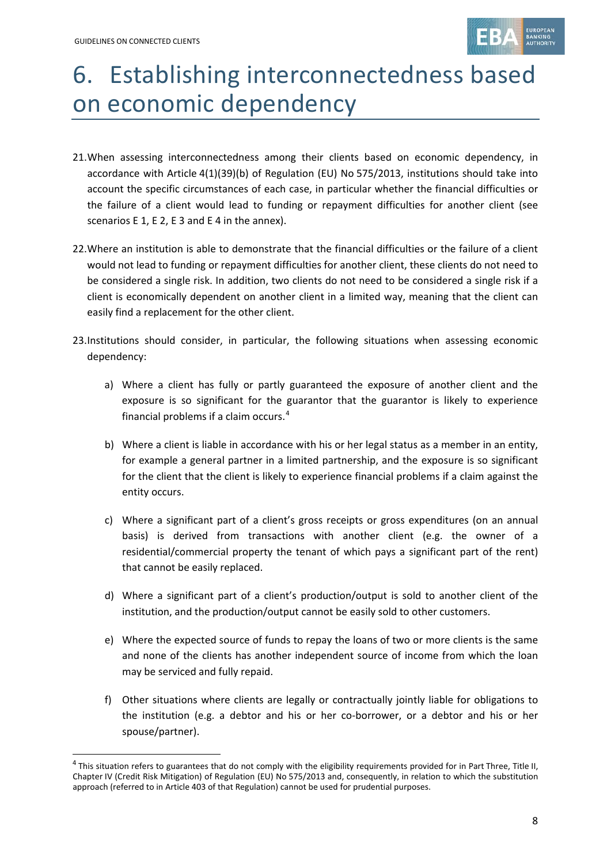

# 6. Establishing interconnectedness based on economic dependency

- 21.When assessing interconnectedness among their clients based on economic dependency, in accordance with Article 4(1)(39)(b) of Regulation (EU) No 575/2013, institutions should take into account the specific circumstances of each case, in particular whether the financial difficulties or the failure of a client would lead to funding or repayment difficulties for another client (see scenarios E 1, E 2, E 3 and E 4 in the annex).
- 22.Where an institution is able to demonstrate that the financial difficulties or the failure of a client would not lead to funding or repayment difficulties for another client, these clients do not need to be considered a single risk. In addition, two clients do not need to be considered a single risk if a client is economically dependent on another client in a limited way, meaning that the client can easily find a replacement for the other client.
- 23.Institutions should consider, in particular, the following situations when assessing economic dependency:
	- a) Where a client has fully or partly guaranteed the exposure of another client and the exposure is so significant for the guarantor that the guarantor is likely to experience financial problems if a claim occurs. [4](#page-7-0)
	- b) Where a client is liable in accordance with his or her legal status as a member in an entity, for example a general partner in a limited partnership, and the exposure is so significant for the client that the client is likely to experience financial problems if a claim against the entity occurs.
	- c) Where a significant part of a client's gross receipts or gross expenditures (on an annual basis) is derived from transactions with another client (e.g. the owner of a residential/commercial property the tenant of which pays a significant part of the rent) that cannot be easily replaced.
	- d) Where a significant part of a client's production/output is sold to another client of the institution, and the production/output cannot be easily sold to other customers.
	- e) Where the expected source of funds to repay the loans of two or more clients is the same and none of the clients has another independent source of income from which the loan may be serviced and fully repaid.
	- f) Other situations where clients are legally or contractually jointly liable for obligations to the institution (e.g. a debtor and his or her co-borrower, or a debtor and his or her spouse/partner).

<span id="page-7-0"></span><sup>4</sup> This situation refers to guarantees that do not comply with the eligibility requirements provided for in Part Three, Title II, Chapter IV (Credit Risk Mitigation) of Regulation (EU) No 575/2013 and, consequently, in relation to which the substitution approach (referred to in Article 403 of that Regulation) cannot be used for prudential purposes.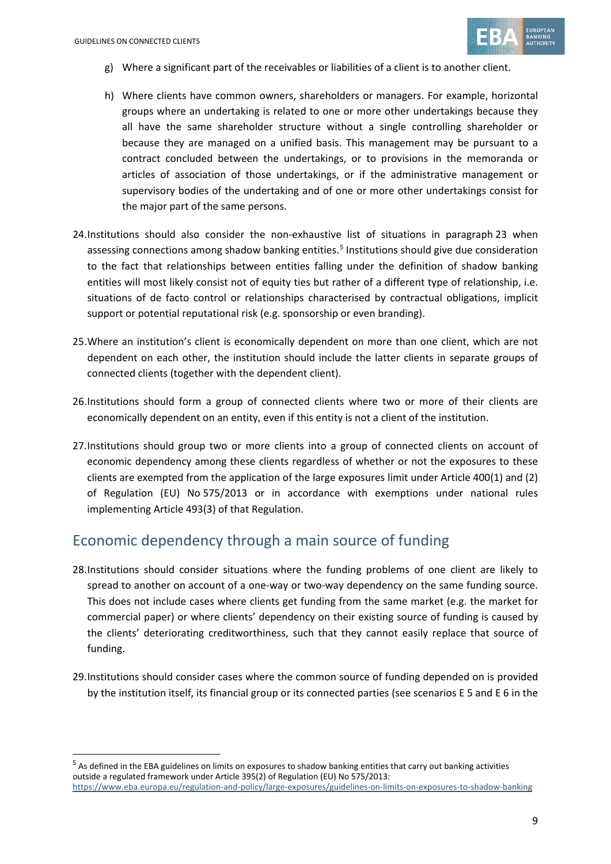

- g) Where a significant part of the receivables or liabilities of a client is to another client.
- h) Where clients have common owners, shareholders or managers. For example, horizontal groups where an undertaking is related to one or more other undertakings because they all have the same shareholder structure without a single controlling shareholder or because they are managed on a unified basis. This management may be pursuant to a contract concluded between the undertakings, or to provisions in the memoranda or articles of association of those undertakings, or if the administrative management or supervisory bodies of the undertaking and of one or more other undertakings consist for the major part of the same persons.
- 24.Institutions should also consider the non-exhaustive list of situations in paragraph 23 when assessing connections among shadow banking entities.<sup>[5](#page-8-0)</sup> Institutions should give due consideration to the fact that relationships between entities falling under the definition of shadow banking entities will most likely consist not of equity ties but rather of a different type of relationship, i.e. situations of de facto control or relationships characterised by contractual obligations, implicit support or potential reputational risk (e.g. sponsorship or even branding).
- 25.Where an institution's client is economically dependent on more than one client, which are not dependent on each other, the institution should include the latter clients in separate groups of connected clients (together with the dependent client).
- 26.Institutions should form a group of connected clients where two or more of their clients are economically dependent on an entity, even if this entity is not a client of the institution.
- 27.Institutions should group two or more clients into a group of connected clients on account of economic dependency among these clients regardless of whether or not the exposures to these clients are exempted from the application of the large exposures limit under Article 400(1) and (2) of Regulation (EU) No 575/2013 or in accordance with exemptions under national rules implementing Article 493(3) of that Regulation.

### Economic dependency through a main source of funding

- 28.Institutions should consider situations where the funding problems of one client are likely to spread to another on account of a one-way or two-way dependency on the same funding source. This does not include cases where clients get funding from the same market (e.g. the market for commercial paper) or where clients' dependency on their existing source of funding is caused by the clients' deteriorating creditworthiness, such that they cannot easily replace that source of funding.
- 29.Institutions should consider cases where the common source of funding depended on is provided by the institution itself, its financial group or its connected parties (see scenarios E 5 and E 6 in the

<span id="page-8-0"></span><sup>&</sup>lt;sup>5</sup> As defined in the EBA guidelines on limits on exposures to shadow banking entities that carry out banking activities outside a regulated framework under Article 395(2) of Regulation (EU) No 575/2013: <https://www.eba.europa.eu/regulation-and-policy/large-exposures/guidelines-on-limits-on-exposures-to-shadow-banking>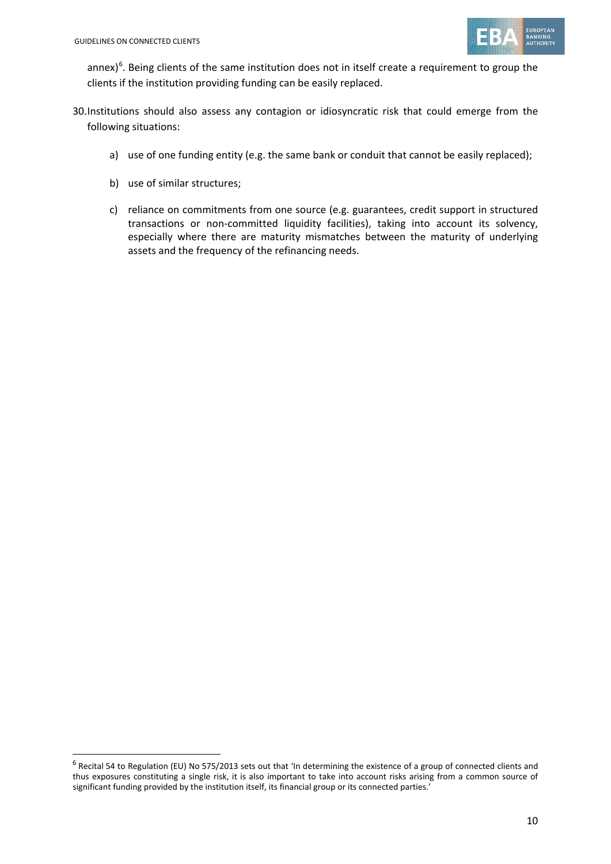

annex)<sup>[6](#page-9-0)</sup>. Being clients of the same institution does not in itself create a requirement to group the clients if the institution providing funding can be easily replaced.

- 30.Institutions should also assess any contagion or idiosyncratic risk that could emerge from the following situations:
	- a) use of one funding entity (e.g. the same bank or conduit that cannot be easily replaced);
	- b) use of similar structures;
	- c) reliance on commitments from one source (e.g. guarantees, credit support in structured transactions or non-committed liquidity facilities), taking into account its solvency, especially where there are maturity mismatches between the maturity of underlying assets and the frequency of the refinancing needs.

<span id="page-9-0"></span><sup>&</sup>lt;sup>6</sup> Recital 54 to Regulation (EU) No 575/2013 sets out that 'In determining the existence of a group of connected clients and thus exposures constituting a single risk, it is also important to take into account risks arising from a common source of significant funding provided by the institution itself, its financial group or its connected parties.'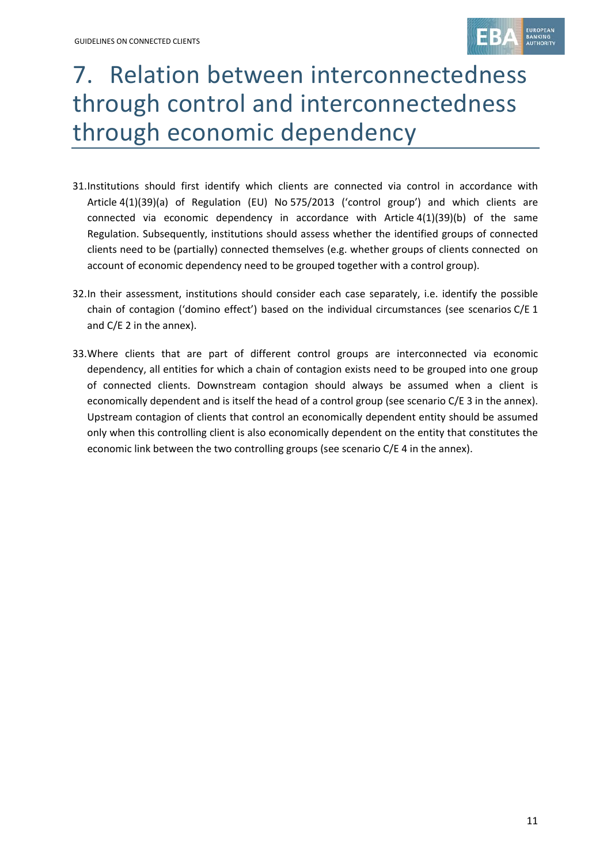

## 7. Relation between interconnectedness through control and interconnectedness through economic dependency

- 31.Institutions should first identify which clients are connected via control in accordance with Article 4(1)(39)(a) of Regulation (EU) No 575/2013 ('control group') and which clients are connected via economic dependency in accordance with Article 4(1)(39)(b) of the same Regulation. Subsequently, institutions should assess whether the identified groups of connected clients need to be (partially) connected themselves (e.g. whether groups of clients connected on account of economic dependency need to be grouped together with a control group).
- 32.In their assessment, institutions should consider each case separately, i.e. identify the possible chain of contagion ('domino effect') based on the individual circumstances (see scenarios C/E 1 and C/E 2 in the annex).
- 33.Where clients that are part of different control groups are interconnected via economic dependency, all entities for which a chain of contagion exists need to be grouped into one group of connected clients. Downstream contagion should always be assumed when a client is economically dependent and is itself the head of a control group (see scenario C/E 3 in the annex). Upstream contagion of clients that control an economically dependent entity should be assumed only when this controlling client is also economically dependent on the entity that constitutes the economic link between the two controlling groups (see scenario C/E 4 in the annex).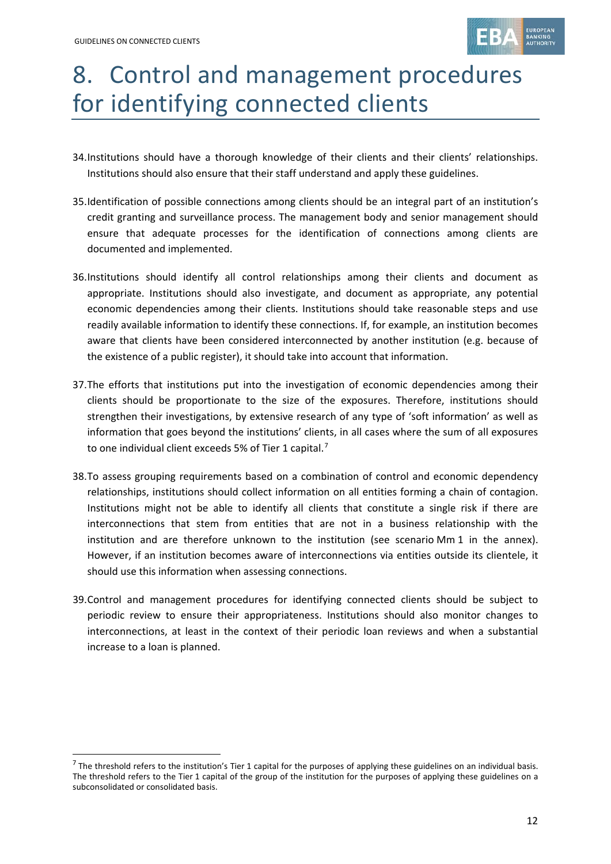

# 8. Control and management procedures for identifying connected clients

- 34.Institutions should have a thorough knowledge of their clients and their clients' relationships. Institutions should also ensure that their staff understand and apply these guidelines.
- 35.Identification of possible connections among clients should be an integral part of an institution's credit granting and surveillance process. The management body and senior management should ensure that adequate processes for the identification of connections among clients are documented and implemented.
- 36.Institutions should identify all control relationships among their clients and document as appropriate. Institutions should also investigate, and document as appropriate, any potential economic dependencies among their clients. Institutions should take reasonable steps and use readily available information to identify these connections. If, for example, an institution becomes aware that clients have been considered interconnected by another institution (e.g. because of the existence of a public register), it should take into account that information.
- 37.The efforts that institutions put into the investigation of economic dependencies among their clients should be proportionate to the size of the exposures. Therefore, institutions should strengthen their investigations, by extensive research of any type of 'soft information' as well as information that goes beyond the institutions' clients, in all cases where the sum of all exposures to one individual client exceeds 5% of Tier 1 capital.<sup>[7](#page-11-0)</sup>
- 38.To assess grouping requirements based on a combination of control and economic dependency relationships, institutions should collect information on all entities forming a chain of contagion. Institutions might not be able to identify all clients that constitute a single risk if there are interconnections that stem from entities that are not in a business relationship with the institution and are therefore unknown to the institution (see scenario Mm 1 in the annex). However, if an institution becomes aware of interconnections via entities outside its clientele, it should use this information when assessing connections.
- 39.Control and management procedures for identifying connected clients should be subject to periodic review to ensure their appropriateness. Institutions should also monitor changes to interconnections, at least in the context of their periodic loan reviews and when a substantial increase to a loan is planned.

<span id="page-11-0"></span> $<sup>7</sup>$  The threshold refers to the institution's Tier 1 capital for the purposes of applying these guidelines on an individual basis.</sup> The threshold refers to the Tier 1 capital of the group of the institution for the purposes of applying these guidelines on a subconsolidated or consolidated basis.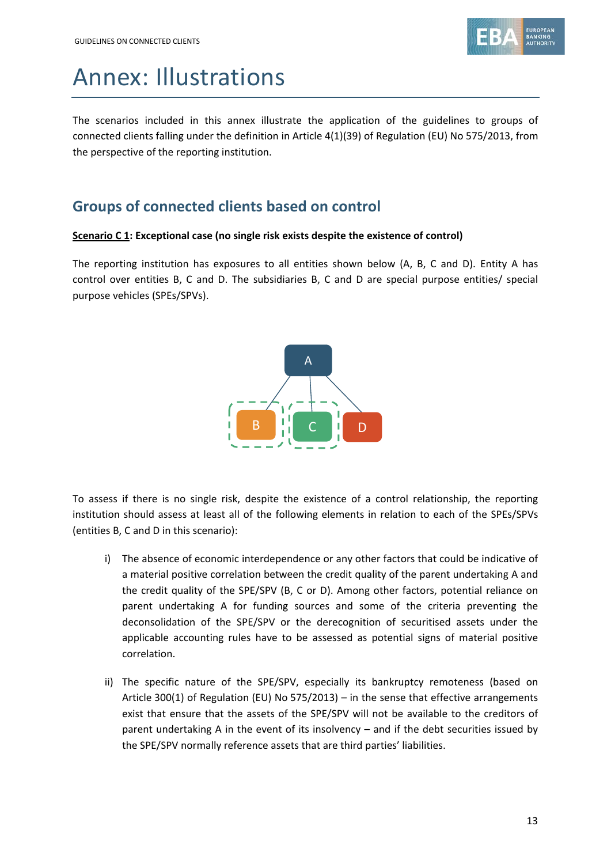

## Annex: Illustrations

The scenarios included in this annex illustrate the application of the guidelines to groups of connected clients falling under the definition in Article 4(1)(39) of Regulation (EU) No 575/2013, from the perspective of the reporting institution.

## **Groups of connected clients based on control**

### **Scenario C 1: Exceptional case (no single risk exists despite the existence of control)**

The reporting institution has exposures to all entities shown below (A, B, C and D). Entity A has control over entities B, C and D. The subsidiaries B, C and D are special purpose entities/ special purpose vehicles (SPEs/SPVs).



To assess if there is no single risk, despite the existence of a control relationship, the reporting institution should assess at least all of the following elements in relation to each of the SPEs/SPVs (entities B, C and D in this scenario):

- i) The absence of economic interdependence or any other factors that could be indicative of a material positive correlation between the credit quality of the parent undertaking A and the credit quality of the SPE/SPV (B, C or D). Among other factors, potential reliance on parent undertaking A for funding sources and some of the criteria preventing the deconsolidation of the SPE/SPV or the derecognition of securitised assets under the applicable accounting rules have to be assessed as potential signs of material positive correlation.
- ii) The specific nature of the SPE/SPV, especially its bankruptcy remoteness (based on Article 300(1) of Regulation (EU) No 575/2013) – in the sense that effective arrangements exist that ensure that the assets of the SPE/SPV will not be available to the creditors of parent undertaking A in the event of its insolvency – and if the debt securities issued by the SPE/SPV normally reference assets that are third parties' liabilities.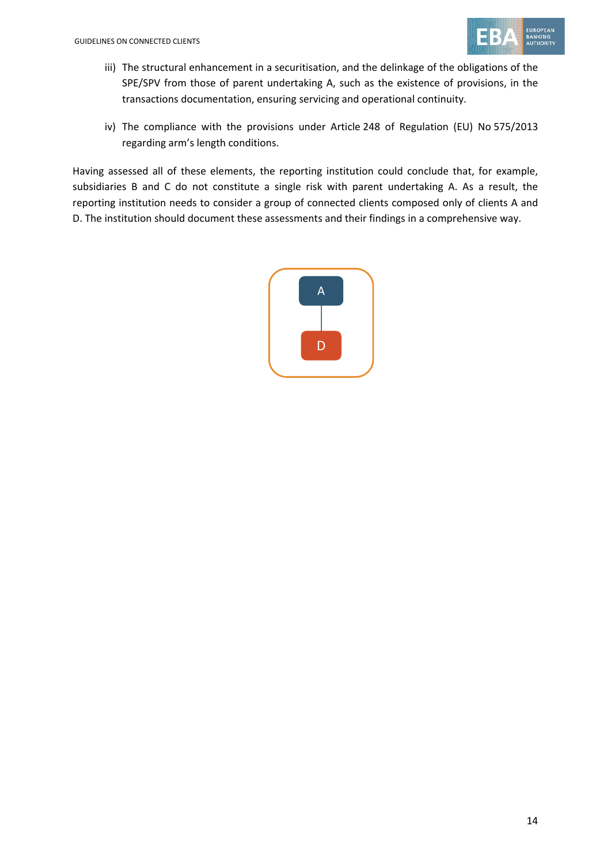

- iii) The structural enhancement in a securitisation, and the delinkage of the obligations of the SPE/SPV from those of parent undertaking A, such as the existence of provisions, in the transactions documentation, ensuring servicing and operational continuity.
- iv) The compliance with the provisions under Article 248 of Regulation (EU) No 575/2013 regarding arm's length conditions.

Having assessed all of these elements, the reporting institution could conclude that, for example, subsidiaries B and C do not constitute a single risk with parent undertaking A. As a result, the reporting institution needs to consider a group of connected clients composed only of clients A and D. The institution should document these assessments and their findings in a comprehensive way.

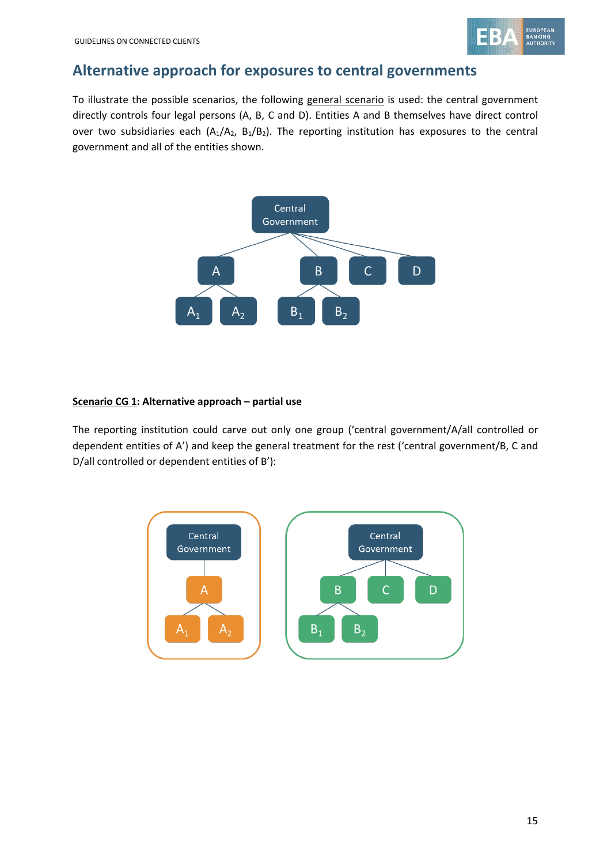

### **Alternative approach for exposures to central governments**

To illustrate the possible scenarios, the following general scenario is used: the central government directly controls four legal persons (A, B, C and D). Entities A and B themselves have direct control over two subsidiaries each  $(A_1/A_2, B_1/B_2)$ . The reporting institution has exposures to the central government and all of the entities shown.



### **Scenario CG 1: Alternative approach – partial use**

The reporting institution could carve out only one group ('central government/A/all controlled or dependent entities of A') and keep the general treatment for the rest ('central government/B, C and D/all controlled or dependent entities of B'):

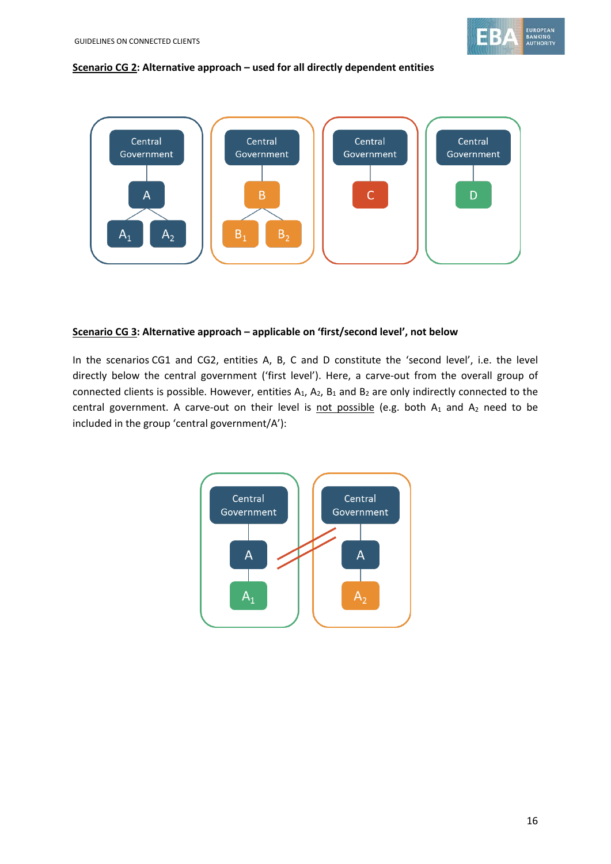

#### **Scenario CG 2: Alternative approach – used for all directly dependent entities**



#### **Scenario CG 3: Alternative approach – applicable on 'first/second level', not below**

In the scenarios CG1 and CG2, entities A, B, C and D constitute the 'second level', i.e. the level directly below the central government ('first level'). Here, a carve-out from the overall group of connected clients is possible. However, entities  $A_1$ ,  $A_2$ ,  $B_1$  and  $B_2$  are only indirectly connected to the central government. A carve-out on their level is not possible (e.g. both  $A_1$  and  $A_2$  need to be included in the group 'central government/A'):

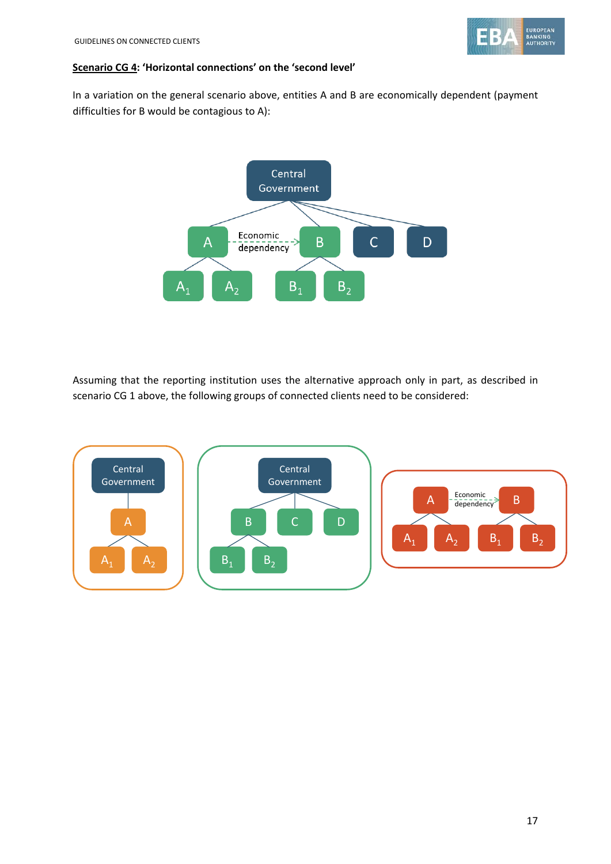

### **Scenario CG 4: 'Horizontal connections' on the 'second level'**

In a variation on the general scenario above, entities A and B are economically dependent (payment difficulties for B would be contagious to A):



Assuming that the reporting institution uses the alternative approach only in part, as described in scenario CG 1 above, the following groups of connected clients need to be considered:

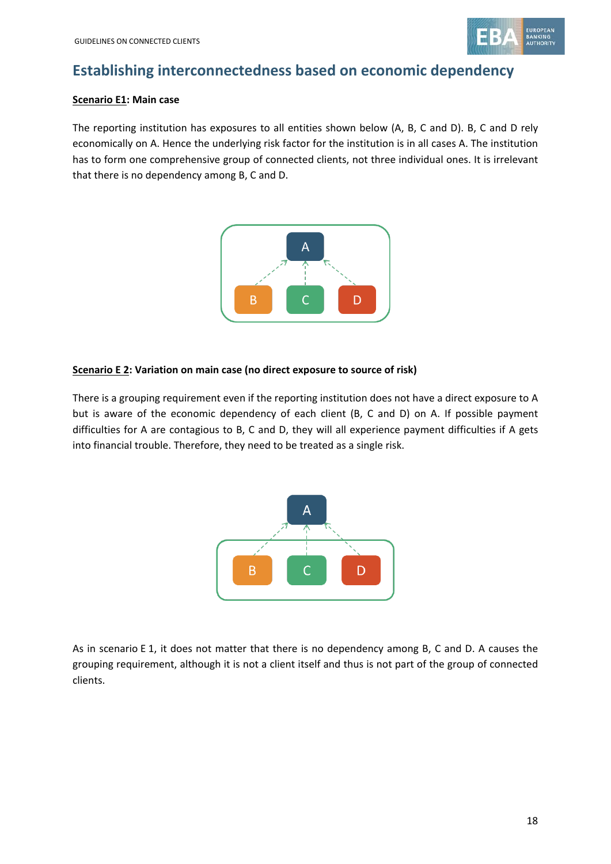

## **Establishing interconnectedness based on economic dependency**

### **Scenario E1: Main case**

The reporting institution has exposures to all entities shown below (A, B, C and D). B, C and D rely economically on A. Hence the underlying risk factor for the institution is in all cases A. The institution has to form one comprehensive group of connected clients, not three individual ones. It is irrelevant that there is no dependency among B, C and D.



### **Scenario E 2: Variation on main case (no direct exposure to source of risk)**

There is a grouping requirement even if the reporting institution does not have a direct exposure to A but is aware of the economic dependency of each client (B, C and D) on A. If possible payment difficulties for A are contagious to B, C and D, they will all experience payment difficulties if A gets into financial trouble. Therefore, they need to be treated as a single risk.



As in scenario E 1, it does not matter that there is no dependency among B, C and D. A causes the grouping requirement, although it is not a client itself and thus is not part of the group of connected clients.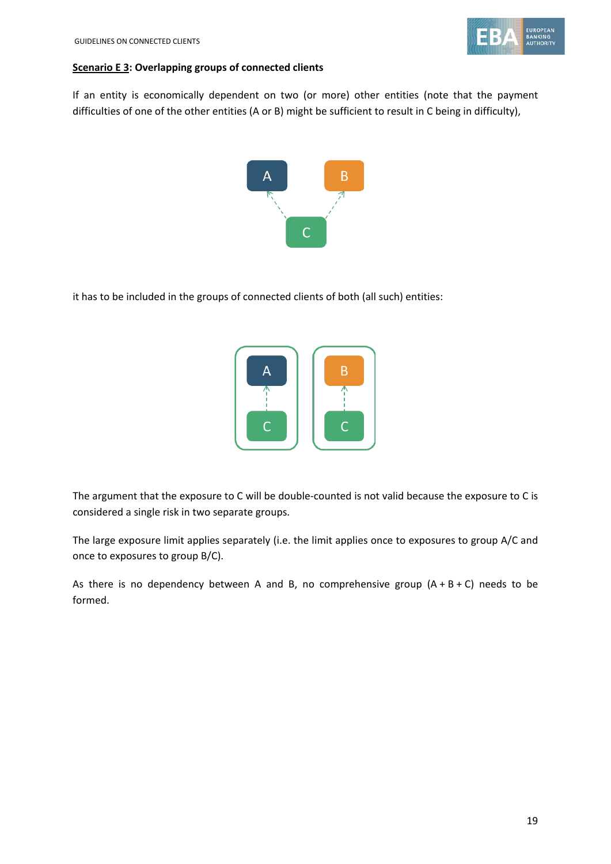

#### **Scenario E 3: Overlapping groups of connected clients**

If an entity is economically dependent on two (or more) other entities (note that the payment difficulties of one of the other entities (A or B) might be sufficient to result in C being in difficulty),



it has to be included in the groups of connected clients of both (all such) entities:



The argument that the exposure to C will be double-counted is not valid because the exposure to C is considered a single risk in two separate groups.

The large exposure limit applies separately (i.e. the limit applies once to exposures to group A/C and once to exposures to group B/C).

As there is no dependency between A and B, no comprehensive group  $(A + B + C)$  needs to be formed.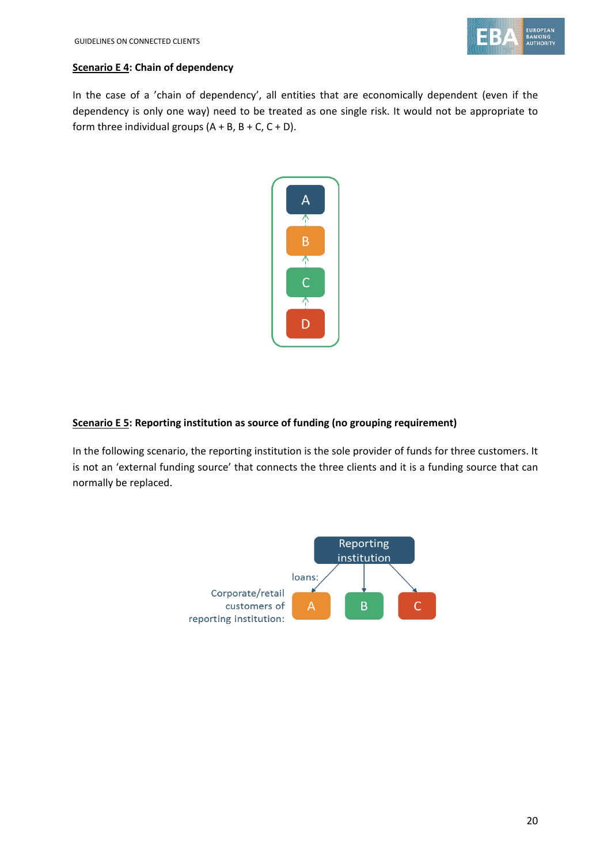

### **Scenario E 4: Chain of dependency**

In the case of a 'chain of dependency', all entities that are economically dependent (even if the dependency is only one way) need to be treated as one single risk. It would not be appropriate to form three individual groups  $(A + B, B + C, C + D)$ .



### **Scenario E 5: Reporting institution as source of funding (no grouping requirement)**

In the following scenario, the reporting institution is the sole provider of funds for three customers. It is not an 'external funding source' that connects the three clients and it is a funding source that can normally be replaced.

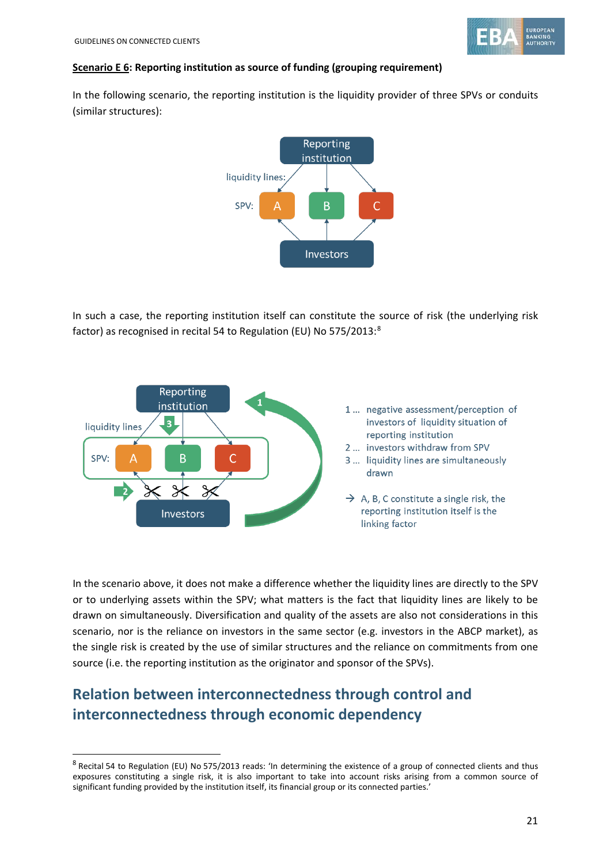

### **Scenario E 6: Reporting institution as source of funding (grouping requirement)**

In the following scenario, the reporting institution is the liquidity provider of three SPVs or conduits (similar structures):



In such a case, the reporting institution itself can constitute the source of risk (the underlying risk factor) as recognised in recital 54 to Regulation (EU) No 575/2013:<sup>[8](#page-20-0)</sup>



In the scenario above, it does not make a difference whether the liquidity lines are directly to the SPV or to underlying assets within the SPV; what matters is the fact that liquidity lines are likely to be drawn on simultaneously. Diversification and quality of the assets are also not considerations in this scenario, nor is the reliance on investors in the same sector (e.g. investors in the ABCP market), as the single risk is created by the use of similar structures and the reliance on commitments from one source (i.e. the reporting institution as the originator and sponsor of the SPVs).

## **Relation between interconnectedness through control and interconnectedness through economic dependency**

<span id="page-20-0"></span><sup>8</sup> Recital 54 to Regulation (EU) No 575/2013 reads: 'In determining the existence of a group of connected clients and thus exposures constituting a single risk, it is also important to take into account risks arising from a common source of significant funding provided by the institution itself, its financial group or its connected parties.'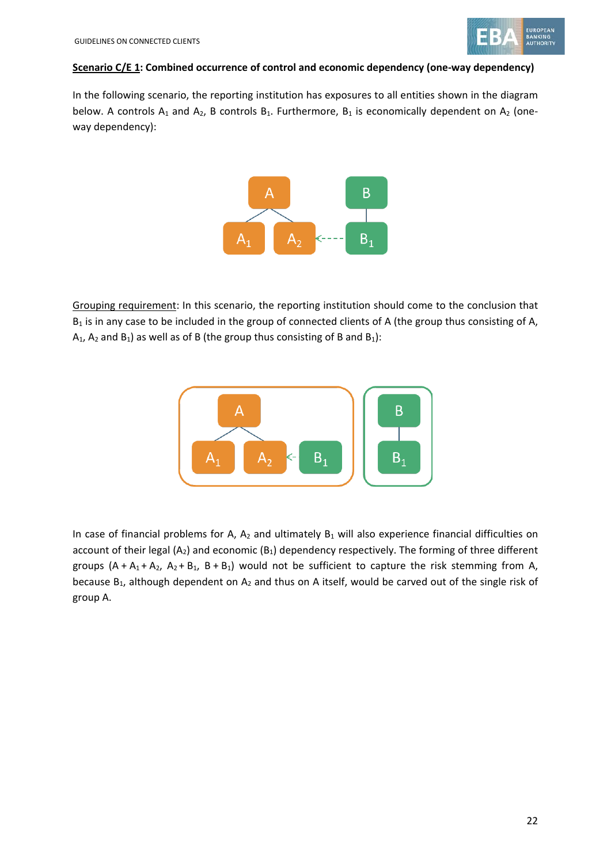

#### **Scenario C/E 1: Combined occurrence of control and economic dependency (one-way dependency)**

In the following scenario, the reporting institution has exposures to all entities shown in the diagram below. A controls  $A_1$  and  $A_2$ , B controls  $B_1$ . Furthermore,  $B_1$  is economically dependent on  $A_2$  (oneway dependency):



Grouping requirement: In this scenario, the reporting institution should come to the conclusion that  $B_1$  is in any case to be included in the group of connected clients of A (the group thus consisting of A,  $A_1$ ,  $A_2$  and  $B_1$ ) as well as of B (the group thus consisting of B and  $B_1$ ):



In case of financial problems for A,  $A_2$  and ultimately  $B_1$  will also experience financial difficulties on account of their legal (A<sub>2</sub>) and economic (B<sub>1</sub>) dependency respectively. The forming of three different groups  $(A + A_1 + A_2, A_2 + B_1, B + B_1)$  would not be sufficient to capture the risk stemming from A, because  $B_1$ , although dependent on  $A_2$  and thus on A itself, would be carved out of the single risk of group A.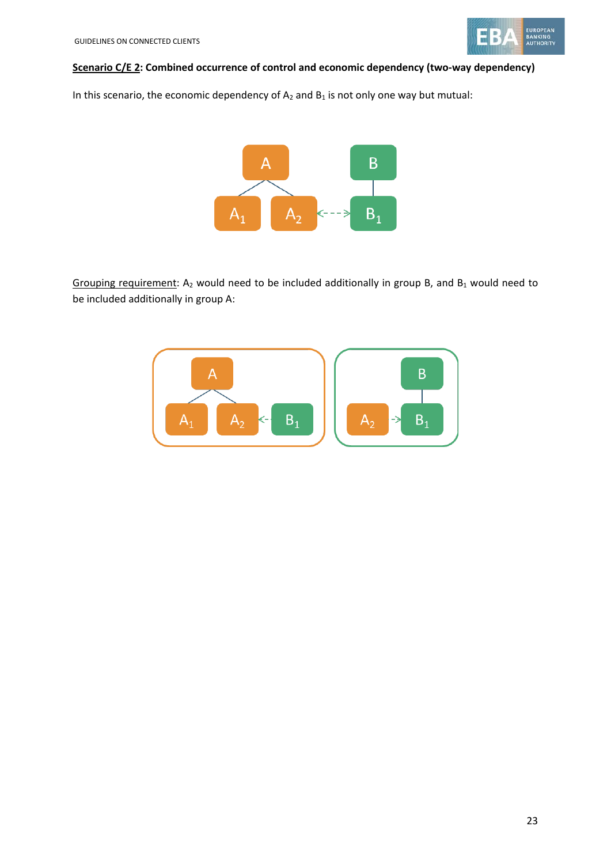

### **Scenario C/E 2: Combined occurrence of control and economic dependency (two-way dependency)**

In this scenario, the economic dependency of  $A_2$  and  $B_1$  is not only one way but mutual:



Grouping requirement:  $A_2$  would need to be included additionally in group B, and  $B_1$  would need to be included additionally in group A:

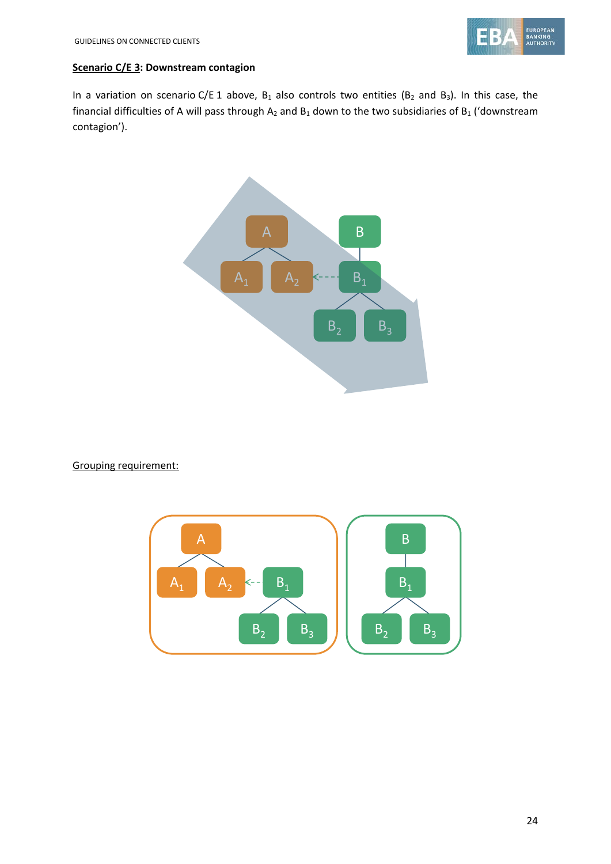

### **Scenario C/E 3: Downstream contagion**

In a variation on scenario C/E 1 above,  $B_1$  also controls two entities ( $B_2$  and  $B_3$ ). In this case, the financial difficulties of A will pass through  $A_2$  and  $B_1$  down to the two subsidiaries of  $B_1$  ('downstream contagion').



Grouping requirement:

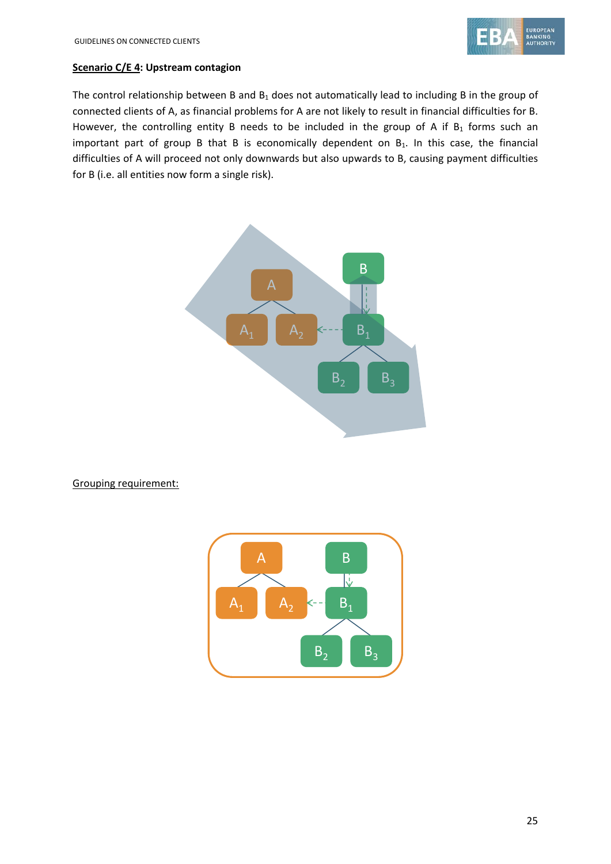### **Scenario C/E 4: Upstream contagion**

The control relationship between B and  $B_1$  does not automatically lead to including B in the group of connected clients of A, as financial problems for A are not likely to result in financial difficulties for B. However, the controlling entity B needs to be included in the group of A if  $B_1$  forms such an important part of group B that B is economically dependent on  $B_1$ . In this case, the financial difficulties of A will proceed not only downwards but also upwards to B, causing payment difficulties for B (i.e. all entities now form a single risk).



Grouping requirement: